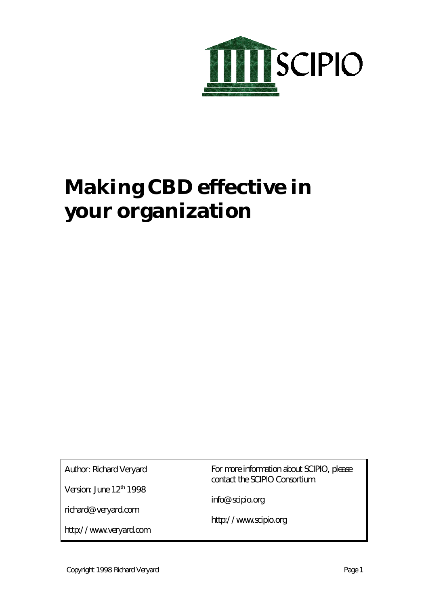

# **Making CBD effective in your organization**

Author: Richard Veryard

Version: June 12<sup>th</sup> 1998

richard@veryard.com

http://www.veryard.com

For more information about SCIPIO, please contact the SCIPIO Consortium.

info@scipio.org

http://www.scipio.org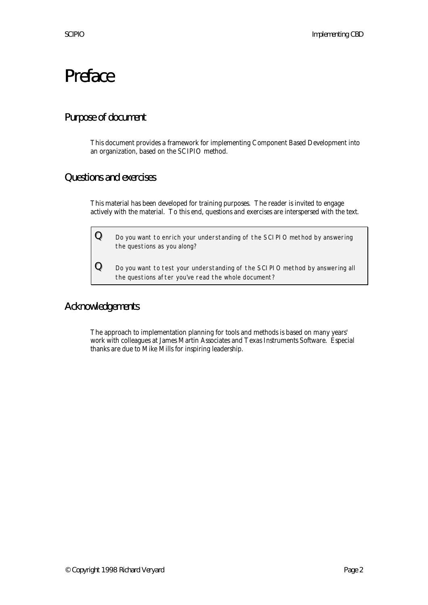# Preface

# Purpose of document

This document provides a framework for implementing Component Based Development into an organization, based on the SCIPIO method.

### Questions and exercises

This material has been developed for training purposes. The reader is invited to engage actively with the material. To this end, questions and exercises are interspersed with the text.

 ${\bf Q}$  Do you want to enrich your understanding of the SCIPIO method by answering the questions as you along?

 ${\bf Q}\quad$  Do you want to test your understanding of the SCIPIO method by answering all the questions after you've read the whole document?

### Acknowledgements

The approach to implementation planning for tools and methods is based on many years' work with colleagues at James Martin Associates and Texas Instruments Software. Especial thanks are due to Mike Mills for inspiring leadership.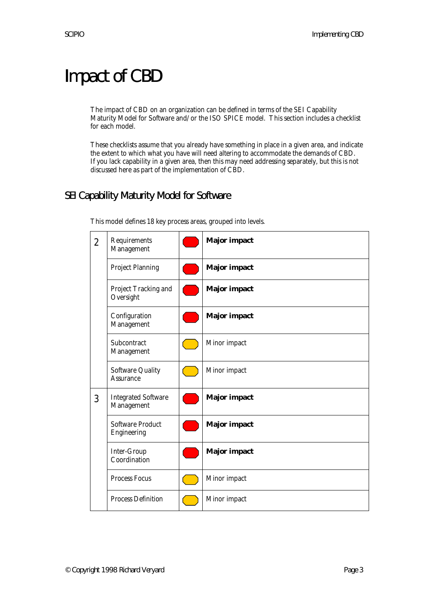# Impact of CBD

The impact of CBD on an organization can be defined in terms of the SEI Capability Maturity Model for Software and/or the ISO SPICE model. This section includes a checklist for each model.

These checklists assume that you already have something in place in a given area, and indicate the extent to which what you have will need altering to accommodate the demands of CBD. If you lack capability in a given area, then this may need addressing separately, but this is not discussed here as part of the implementation of CBD.

# SEI Capability Maturity Model for Software

| $\overline{2}$ | Requirements<br>Management               | <b>Major</b> impact |
|----------------|------------------------------------------|---------------------|
|                | <b>Project Planning</b>                  | <b>Major</b> impact |
|                | Project Tracking and<br>Oversight        | <b>Major</b> impact |
|                | Configuration<br>Management              | <b>Major</b> impact |
|                | Subcontract<br>Management                | Minor impact        |
|                | <b>Software Quality</b><br>Assurance     | Minor impact        |
| 3              | <b>Integrated Software</b><br>Management | <b>Major</b> impact |
|                | <b>Software Product</b><br>Engineering   | <b>Major</b> impact |
|                | Inter-Group<br>Coordination              | <b>Major</b> impact |
|                | <b>Process Focus</b>                     | Minor impact        |
|                | <b>Process Definition</b>                | Minor impact        |

This model defines 18 key process areas, grouped into levels.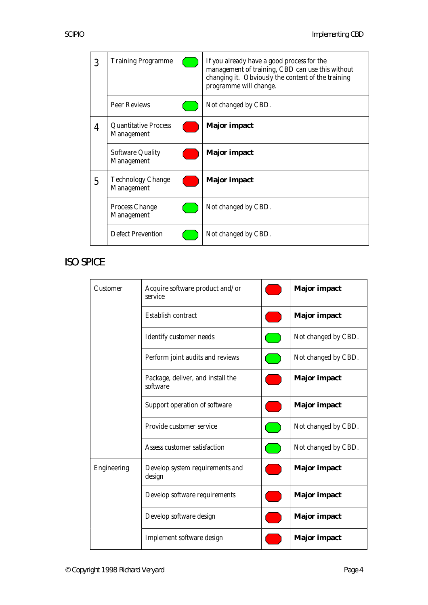| 3 | <b>Training Programme</b>                 | If you already have a good process for the<br>management of training, CBD can use this without<br>changing it. Obviously the content of the training<br>programme will change. |
|---|-------------------------------------------|--------------------------------------------------------------------------------------------------------------------------------------------------------------------------------|
|   | <b>Peer Reviews</b>                       | Not changed by CBD.                                                                                                                                                            |
| 4 | <b>Quantitative Process</b><br>Management | <b>Major</b> impact                                                                                                                                                            |
|   | <b>Software Quality</b><br>Management     | <b>Major</b> impact                                                                                                                                                            |
| 5 | <b>Technology Change</b><br>Management    | <b>Major</b> impact                                                                                                                                                            |
|   | Process Change<br>Management              | Not changed by CBD.                                                                                                                                                            |
|   | <b>Defect Prevention</b>                  | Not changed by CBD.                                                                                                                                                            |

# ISO SPICE

| Customer    | Acquire software product and/or<br>service    |  | <b>Major</b> impact |
|-------------|-----------------------------------------------|--|---------------------|
|             | Establish contract                            |  | <b>Major</b> impact |
|             | Identify customer needs                       |  | Not changed by CBD. |
|             | Perform joint audits and reviews              |  | Not changed by CBD. |
|             | Package, deliver, and install the<br>software |  | <b>Major</b> impact |
|             | Support operation of software                 |  | <b>Major</b> impact |
|             | Provide customer service                      |  | Not changed by CBD. |
|             | Assess customer satisfaction                  |  | Not changed by CBD. |
| Engineering | Develop system requirements and<br>design     |  | <b>Major</b> impact |
|             | Develop software requirements                 |  | <b>Major</b> impact |
|             | Develop software design                       |  | <b>Major impact</b> |
|             | Implement software design                     |  | <b>Major</b> impact |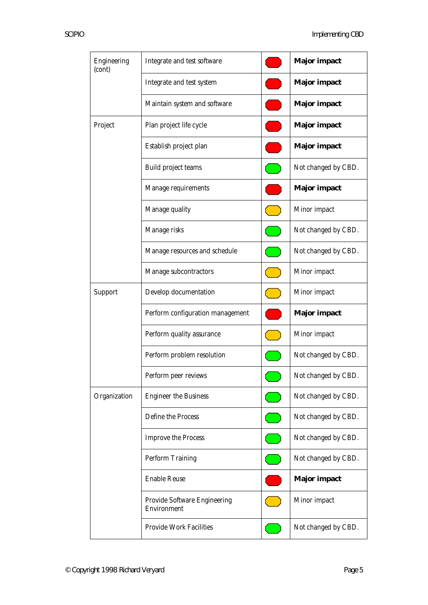| Engineering<br>(cont) | Integrate and test software                 | <b>Major</b> impact |
|-----------------------|---------------------------------------------|---------------------|
|                       | Integrate and test system                   | <b>Major</b> impact |
|                       | Maintain system and software                | <b>Major</b> impact |
| Project               | Plan project life cycle                     | <b>Major</b> impact |
|                       | Establish project plan                      | <b>Major</b> impact |
|                       | Build project teams                         | Not changed by CBD. |
|                       | Manage requirements                         | <b>Major</b> impact |
|                       | Manage quality                              | Minor impact        |
|                       | Manage risks                                | Not changed by CBD. |
|                       | Manage resources and schedule               | Not changed by CBD. |
|                       | Manage subcontractors                       | Minor impact        |
| Support               | Develop documentation                       | Minor impact        |
|                       | Perform configuration management            | <b>Major</b> impact |
|                       | Perform quality assurance                   | Minor impact        |
|                       | Perform problem resolution                  | Not changed by CBD. |
|                       | Perform peer reviews                        | Not changed by CBD. |
| Organization          | <b>Engineer the Business</b>                | Not changed by CBD. |
|                       | Define the Process                          | Not changed by CBD. |
|                       | <b>Improve the Process</b>                  | Not changed by CBD. |
|                       | <b>Perform Training</b>                     | Not changed by CBD. |
|                       | <b>Enable Reuse</b>                         | <b>Major</b> impact |
|                       | Provide Software Engineering<br>Environment | Minor impact        |
|                       | <b>Provide Work Facilities</b>              | Not changed by CBD. |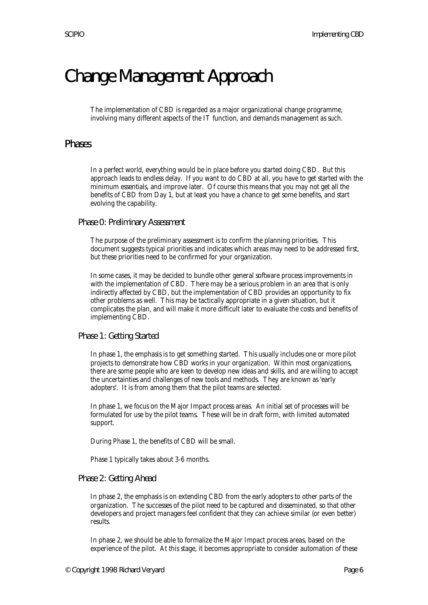# Change Management Approach

The implementation of CBD is regarded as a major organizational change programme, involving many different aspects of the IT function, and demands management as such.

#### Phases

In a perfect world, everything would be in place before you started doing CBD. But this approach leads to endless delay. If you want to do CBD at all, you have to get started with the minimum essentials, and improve later. Of course this means that you may not get all the benefits of CBD from Day 1, but at least you have a chance to get some benefits, and start evolving the capability.

Phase 0: Preliminary Assessment

The purpose of the preliminary assessment is to confirm the planning priorities. This document suggests typical priorities and indicates which areas may need to be addressed first, but these priorities need to be confirmed for your organization.

In some cases, it may be decided to bundle other general software process improvements in with the implementation of CBD. There may be a serious problem in an area that is only indirectly affected by CBD, but the implementation of CBD provides an opportunity to fix other problems as well. This may be tactically appropriate in a given situation, but it complicates the plan, and will make it more difficult later to evaluate the costs and benefits of implementing CBD.

Phase 1: Getting Started

In phase 1, the emphasis is to get something started. This usually includes one or more pilot projects to demonstrate how CBD works in your organization. Within most organizations, there are some people who are keen to develop new ideas and skills, and are willing to accept the uncertainties and challenges of new tools and methods. They are known as 'early adopters'. It is from among them that the pilot teams are selected.

In phase 1, we focus on the Major Impact process areas. An initial set of processes will be formulated for use by the pilot teams. These will be in draft form, with limited automated support.

During Phase 1, the benefits of CBD will be small.

Phase 1 typically takes about 3-6 months.

#### Phase 2: Getting Ahead

In phase 2, the emphasis is on extending CBD from the early adopters to other parts of the organization. The successes of the pilot need to be captured and disseminated, so that other developers and project managers feel confident that they can achieve similar (or even better) results.

In phase 2, we should be able to formalize the Major Impact process areas, based on the experience of the pilot. At this stage, it becomes appropriate to consider automation of these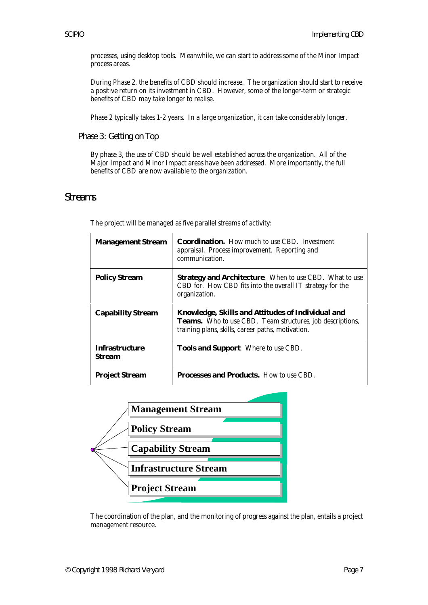processes, using desktop tools. Meanwhile, we can start to address some of the Minor Impact process areas.

During Phase 2, the benefits of CBD should increase. The organization should start to receive a positive return on its investment in CBD. However, some of the longer-term or strategic benefits of CBD may take longer to realise.

Phase 2 typically takes 1-2 years. In a large organization, it can take considerably longer.

Phase 3: Getting on Top

By phase 3, the use of CBD should be well established across the organization. All of the Major Impact and Minor Impact areas have been addressed. More importantly, the full benefits of CBD are now available to the organization.

#### **Streams**

| <b>Management Stream</b>        | <b>Coordination.</b> How much to use CBD. Investment<br>appraisal. Process improvement. Reporting and<br>communication.                                                    |
|---------------------------------|----------------------------------------------------------------------------------------------------------------------------------------------------------------------------|
| <b>Policy Stream</b>            | <b>Strategy and Architecture.</b> When to use CBD. What to use<br>CBD for. How CBD fits into the overall IT strategy for the<br>organization.                              |
| <b>Capability Stream</b>        | Knowledge, Skills and Attitudes of Individual and<br><b>Teams.</b> Who to use CBD. Team structures, job descriptions,<br>training plans, skills, career paths, motivation. |
| <b>Infrastructure</b><br>Stream | Tools and Support. Where to use CBD.                                                                                                                                       |
| <b>Project Stream</b>           | Processes and Products. How to use CBD.                                                                                                                                    |

The project will be managed as five parallel streams of activity:



The coordination of the plan, and the monitoring of progress against the plan, entails a project management resource.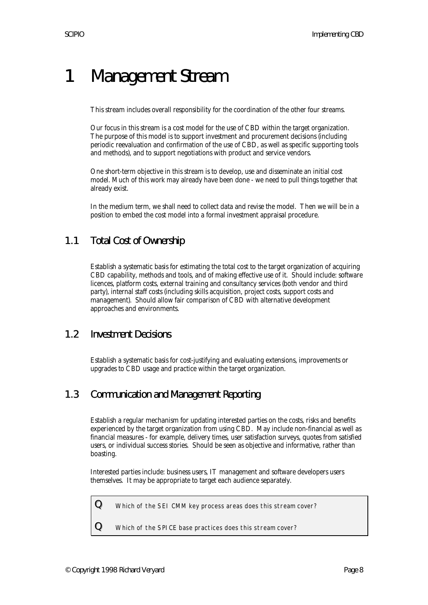# 1 Management Stream

This stream includes overall responsibility for the coordination of the other four streams.

Our focus in this stream is a cost model for the use of CBD within the target organization. The purpose of this model is to support investment and procurement decisions (including periodic reevaluation and confirmation of the use of CBD, as well as specific supporting tools and methods), and to support negotiations with product and service vendors.

One short-term objective in this stream is to develop, use and disseminate an initial cost model. Much of this work may already have been done - we need to pull things together that already exist.

In the medium term, we shall need to collect data and revise the model. Then we will be in a position to embed the cost model into a formal investment appraisal procedure.

# 1.1 Total Cost of Ownership

Establish a systematic basis for estimating the total cost to the target organization of acquiring CBD capability, methods and tools, and of making effective use of it. Should include: software licences, platform costs, external training and consultancy services (both vendor and third party), internal staff costs (including skills acquisition, project costs, support costs and management). Should allow fair comparison of CBD with alternative development approaches and environments.

#### 1.2 Investment Decisions

Establish a systematic basis for cost-justifying and evaluating extensions, improvements or upgrades to CBD usage and practice within the target organization.

#### 1.3 Communication and Management Reporting

Establish a regular mechanism for updating interested parties on the costs, risks and benefits experienced by the target organization from using CBD. May include non-financial as well as financial measures - for example, delivery times, user satisfaction surveys, quotes from satisfied users, or individual success stories. Should be seen as objective and informative, rather than boasting.

Interested parties include: business users, IT management and software developers users themselves. It may be appropriate to target each audience separately.

 ${\bf Q}$  Which of the SEI CMM key process areas does this stream cover?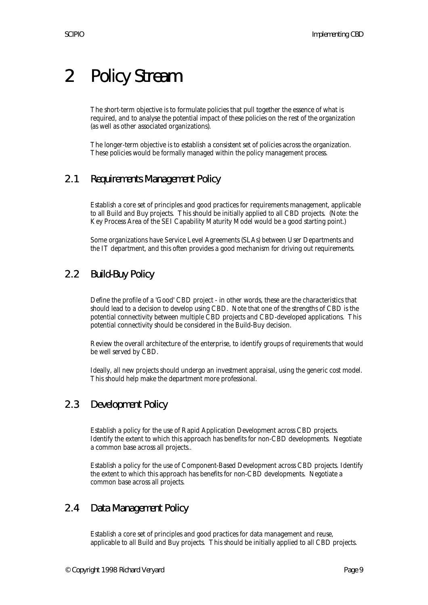# 2 Policy Stream

The short-term objective is to formulate policies that pull together the essence of what is required, and to analyse the potential impact of these policies on the rest of the organization (as well as other associated organizations).

The longer-term objective is to establish a consistent set of policies across the organization. These policies would be formally managed within the policy management process.

# 2.1 Requirements Management Policy

Establish a core set of principles and good practices for requirements management, applicable to all Build and Buy projects. This should be initially applied to all CBD projects. (Note: the Key Process Area of the SEI Capability Maturity Model would be a good starting point.)

Some organizations have Service Level Agreements (SLAs) between User Departments and the IT department, and this often provides a good mechanism for driving out requirements.

# 2.2 Build-Buy Policy

Define the profile of a 'Good' CBD project - in other words, these are the characteristics that should lead to a decision to develop using CBD. Note that one of the strengths of CBD is the potential connectivity between multiple CBD projects and CBD-developed applications. This potential connectivity should be considered in the Build-Buy decision.

Review the overall architecture of the enterprise, to identify groups of requirements that would be well served by CBD.

Ideally, all new projects should undergo an investment appraisal, using the generic cost model. This should help make the department more professional.

### 2.3 Development Policy

Establish a policy for the use of Rapid Application Development across CBD projects. Identify the extent to which this approach has benefits for non-CBD developments. Negotiate a common base across all projects..

Establish a policy for the use of Component-Based Development across CBD projects. Identify the extent to which this approach has benefits for non-CBD developments. Negotiate a common base across all projects.

### 2.4 Data Management Policy

Establish a core set of principles and good practices for data management and reuse, applicable to all Build and Buy projects. This should be initially applied to all CBD projects.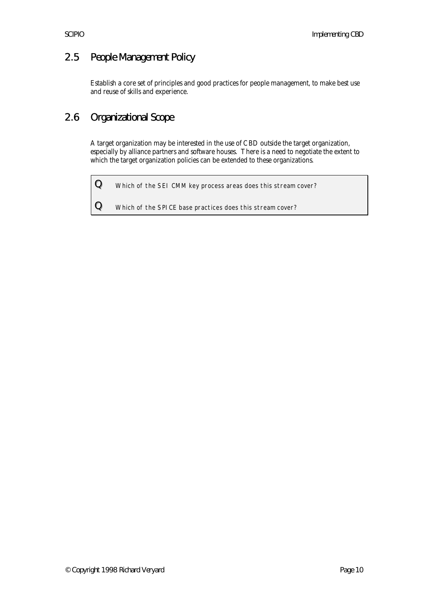# 2.5 People Management Policy

Establish a core set of principles and good practices for people management, to make best use and reuse of skills and experience.

# 2.6 Organizational Scope

A target organization may be interested in the use of CBD outside the target organization, especially by alliance partners and software houses. There is a need to negotiate the extent to which the target organization policies can be extended to these organizations.

 $Q$  Which of the SEI CMM key process areas does this stream cover?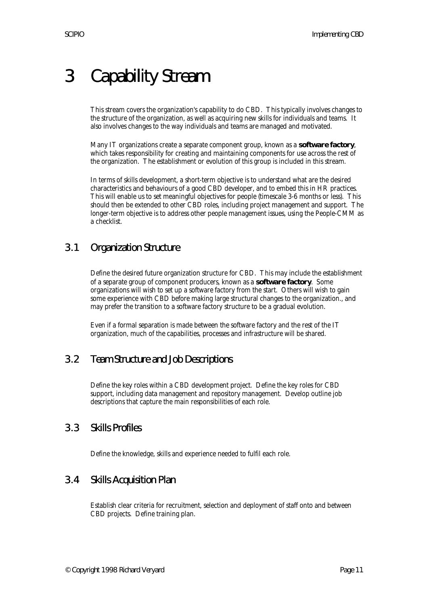# 3 Capability Stream

This stream covers the organization's capability to do CBD. This typically involves changes to the structure of the organization, as well as acquiring new skills for individuals and teams. It also involves changes to the way individuals and teams are managed and motivated.

Many IT organizations create a separate component group, known as a **software factory**, which takes responsibility for creating and maintaining components for use across the rest of the organization. The establishment or evolution of this group is included in this stream.

In terms of skills development, a short-term objective is to understand what are the desired characteristics and behaviours of a good CBD developer, and to embed this in HR practices. This will enable us to set meaningful objectives for people (timescale 3-6 months or less). This should then be extended to other CBD roles, including project management and support. The longer-term objective is to address other people management issues, using the People-CMM as a checklist.

# 3.1 Organization Structure

Define the desired future organization structure for CBD. This may include the establishment of a separate group of component producers, known as a **software factory**. Some organizations will wish to set up a software factory from the start. Others will wish to gain some experience with CBD before making large structural changes to the organization., and may prefer the transition to a software factory structure to be a gradual evolution.

Even if a formal separation is made between the software factory and the rest of the IT organization, much of the capabilities, processes and infrastructure will be shared.

# 3.2 Team Structure and Job Descriptions

Define the key roles within a CBD development project. Define the key roles for CBD support, including data management and repository management. Develop outline job descriptions that capture the main responsibilities of each role.

#### 3.3 Skills Profiles

Define the knowledge, skills and experience needed to fulfil each role.

### 3.4 Skills Acquisition Plan

Establish clear criteria for recruitment, selection and deployment of staff onto and between CBD projects. Define training plan.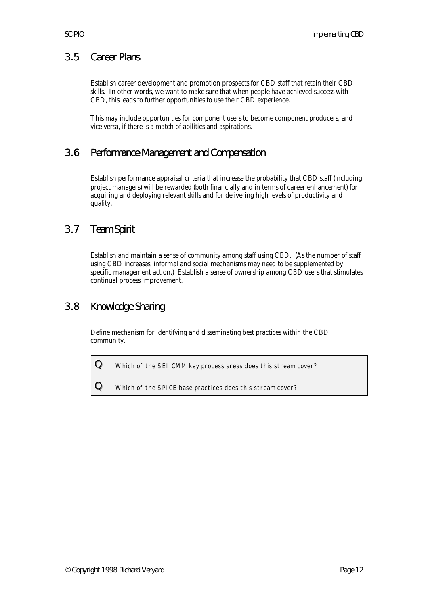### 3.5 Career Plans

Establish career development and promotion prospects for CBD staff that retain their CBD skills. In other words, we want to make sure that when people have achieved success with CBD, this leads to further opportunities to use their CBD experience.

This may include opportunities for component users to become component producers, and vice versa, if there is a match of abilities and aspirations.

#### 3.6 Performance Management and Compensation

Establish performance appraisal criteria that increase the probability that CBD staff (including project managers) will be rewarded (both financially and in terms of career enhancement) for acquiring and deploying relevant skills and for delivering high levels of productivity and quality.

#### 3.7 Team Spirit

Establish and maintain a sense of community among staff using CBD. (As the number of staff using CBD increases, informal and social mechanisms may need to be supplemented by specific management action.) Establish a sense of ownership among CBD users that stimulates continual process improvement.

### 3.8 Knowledge Sharing

Define mechanism for identifying and disseminating best practices within the CBD community.

 ${\bf Q}$  Which of the SEI CMM key process areas does this stream cover?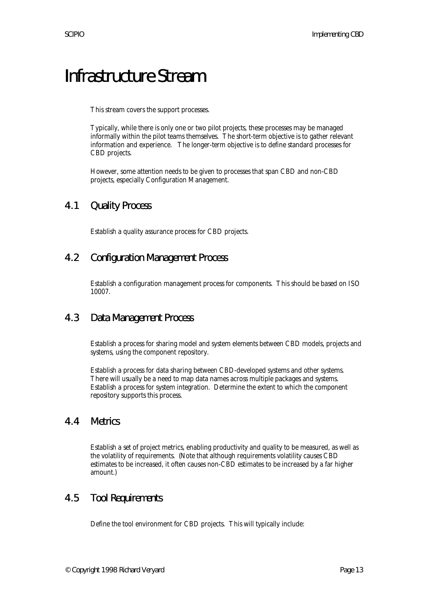# Infrastructure Stream

This stream covers the support processes.

Typically, while there is only one or two pilot projects, these processes may be managed informally within the pilot teams themselves. The short-term objective is to gather relevant information and experience. The longer-term objective is to define standard processes for CBD projects.

However, some attention needs to be given to processes that span CBD and non-CBD projects, especially Configuration Management.

#### 4.1 Quality Process

Establish a quality assurance process for CBD projects.

#### 4.2 Configuration Management Process

Establish a configuration management process for components. This should be based on ISO 10007.

#### 4.3 Data Management Process

Establish a process for sharing model and system elements between CBD models, projects and systems, using the component repository.

Establish a process for data sharing between CBD-developed systems and other systems. There will usually be a need to map data names across multiple packages and systems. Establish a process for system integration. Determine the extent to which the component repository supports this process.

#### 4.4 Metrics

Establish a set of project metrics, enabling productivity and quality to be measured, as well as the volatility of requirements. (Note that although requirements volatility causes CBD estimates to be increased, it often causes non-CBD estimates to be increased by a far higher amount.)

#### 4.5 Tool Requirements

Define the tool environment for CBD projects. This will typically include: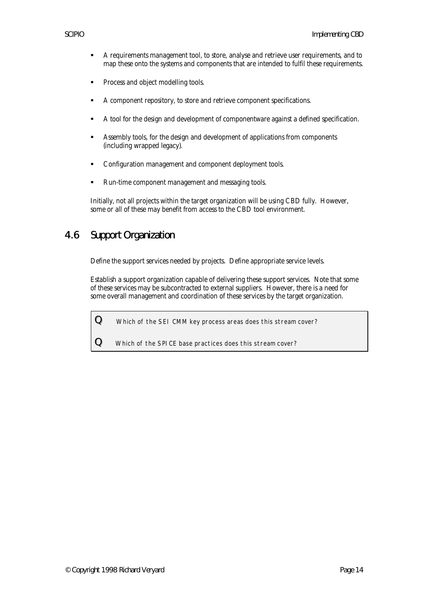- **A** requirements management tool, to store, analyse and retrieve user requirements, and to map these onto the systems and components that are intended to fulfil these requirements.
- **•** Process and object modelling tools.
- ß A component repository, to store and retrieve component specifications.
- ß A tool for the design and development of componentware against a defined specification.
- ß Assembly tools, for the design and development of applications from components (including wrapped legacy).
- ß Configuration management and component deployment tools.
- ß Run-time component management and messaging tools.

Initially, not all projects within the target organization will be using CBD fully. However, some or all of these may benefit from access to the CBD tool environment.

# 4.6 Support Organization

Define the support services needed by projects. Define appropriate service levels.

Establish a support organization capable of delivering these support services. Note that some of these services may be subcontracted to external suppliers. However, there is a need for some overall management and coordination of these services by the target organization.

 ${\bf Q}$  Which of the SEI CMM key process areas does this stream cover?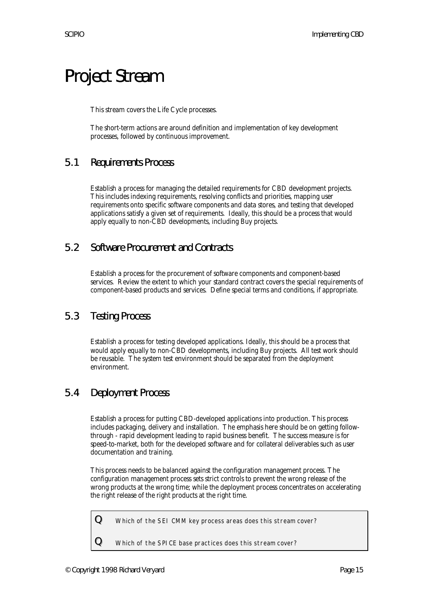# Project Stream

This stream covers the Life Cycle processes.

The short-term actions are around definition and implementation of key development processes, followed by continuous improvement.

#### 5.1 Requirements Process

Establish a process for managing the detailed requirements for CBD development projects. This includes indexing requirements, resolving conflicts and priorities, mapping user requirements onto specific software components and data stores, and testing that developed applications satisfy a given set of requirements. Ideally, this should be a process that would apply equally to non-CBD developments, including Buy projects.

#### 5.2 Software Procurement and Contracts

Establish a process for the procurement of software components and component-based services. Review the extent to which your standard contract covers the special requirements of component-based products and services. Define special terms and conditions, if appropriate.

#### 5.3 Testing Process

Establish a process for testing developed applications. Ideally, this should be a process that would apply equally to non-CBD developments, including Buy projects. All test work should be reusable. The system test environment should be separated from the deployment environment.

### 5.4 Deployment Process

Establish a process for putting CBD-developed applications into production. This process includes packaging, delivery and installation. The emphasis here should be on getting followthrough - rapid development leading to rapid business benefit. The success measure is for speed-to-market, both for the developed software and for collateral deliverables such as user documentation and training.

This process needs to be balanced against the configuration management process. The configuration management process sets strict controls to prevent the wrong release of the wrong products at the wrong time; while the deployment process concentrates on accelerating the right release of the right products at the right time.

 ${\bf Q}$  Which of the SEI CMM key process areas does this stream cover?